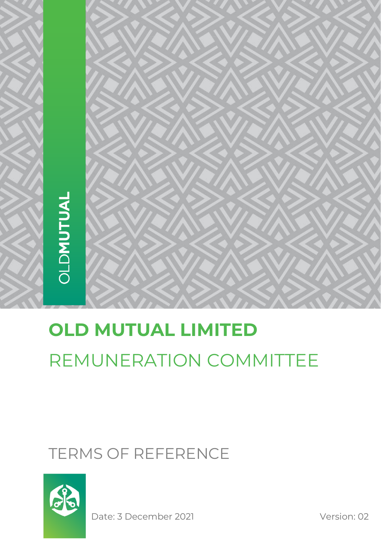# **OLD MUTUAL LIMITED** REMUNERATION COMMITTEE

# TERMS OF REFERENCE



Date: 3 December 2021 Version: 02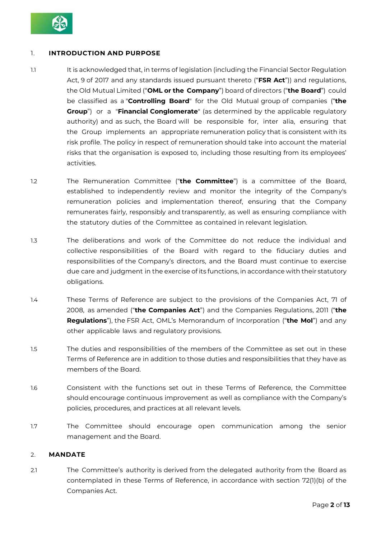

# 1. **INTRODUCTION AND PURPOSE**

- 1.1 It is acknowledged that, in terms of legislation (including the Financial Sector Regulation Act, 9 of 2017 and any standards issued pursuant thereto ("**FSR Act**")) and regulations, the Old Mutual Limited ("**OML or the Company**") board of directors ("**the Board**") could be classified as a "**Controlling Board**" for the Old Mutual group of companies ("**the Group**") or a "**Financial Conglomerate**" (as determined by the applicable regulatory authority) and as such, the Board will be responsible for, inter alia, ensuring that the Group implements an appropriate remuneration policy that is consistent with its risk profile. The policy in respect of remuneration should take into account the material risks that the organisation is exposed to, including those resulting from its employees' activities.
- 1.2 The Remuneration Committee ("**the Committee**") is a committee of the Board, established to independently review and monitor the integrity of the Company's remuneration policies and implementation thereof, ensuring that the Company remunerates fairly, responsibly and transparently, as well as ensuring compliance with the statutory duties of the Committee as contained in relevant legislation.
- 1.3 The deliberations and work of the Committee do not reduce the individual and collective responsibilities of the Board with regard to the fiduciary duties and responsibilities of the Company's directors, and the Board must continue to exercise due care and judgment in the exercise of its functions, in accordance with their statutory obligations.
- 1.4 These Terms of Reference are subject to the provisions of the Companies Act, 71 of 2008, as amended ("**the Companies Act**") and the Companies Regulations, 2011 ("**the Regulations**"), the FSR Act, OML's Memorandum of Incorporation ("**the MoI**") and any other applicable laws and regulatory provisions.
- 1.5 The duties and responsibilities of the members of the Committee as set out in these Terms of Reference are in addition to those duties and responsibilities that they have as members of the Board.
- 1.6 Consistent with the functions set out in these Terms of Reference, the Committee should encourage continuous improvement as well as compliance with the Company's policies, procedures, and practices at all relevant levels.
- 1.7 The Committee should encourage open communication among the senior management and the Board.

#### 2. **MANDATE**

2.1 The Committee's authority is derived from the delegated authority from the Board as contemplated in these Terms of Reference, in accordance with section 72(1)(b) of the Companies Act.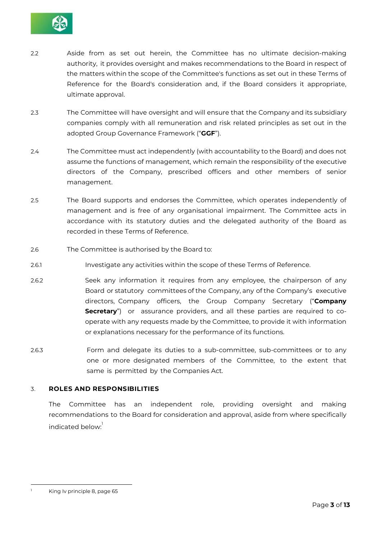

- 2.2 Aside from as set out herein, the Committee has no ultimate decision-making authority, it provides oversight and makes recommendations to the Board in respect of the matters within the scope of the Committee's functions as set out in these Terms of Reference for the Board's consideration and, if the Board considers it appropriate, ultimate approval.
- 2.3 The Committee will have oversight and will ensure that the Company and its subsidiary companies comply with all remuneration and risk related principles as set out in the adopted Group Governance Framework ("**GGF**").
- 2.4 The Committee must act independently (with accountability to the Board) and does not assume the functions of management, which remain the responsibility of the executive directors of the Company, prescribed officers and other members of senior management.
- 2.5 The Board supports and endorses the Committee, which operates independently of management and is free of any organisational impairment. The Committee acts in accordance with its statutory duties and the delegated authority of the Board as recorded in these Terms of Reference.
- 2.6 The Committee is authorised by the Board to:
- 2.6.1 Investigate any activities within the scope of these Terms of Reference.
- 2.6.2 Seek any information it requires from any employee, the chairperson of any Board or statutory committees of the Company, any of the Company's executive directors, Company officers, the Group Company Secretary ("**Company Secretary**") or assurance providers, and all these parties are required to cooperate with any requests made by the Committee, to provide it with information or explanations necessary for the performance of its functions.
- 2.6.3 Form and delegate its duties to a sub-committee, sub-committees or to any one or more designated members of the Committee, to the extent that same is permitted by the Companies Act.

# 3. **ROLES AND RESPONSIBILITIES**

The Committee has an independent role, providing oversight and making recommendations to the Board for consideration and approval, aside from where specifically indicated below:

King Iv principle 8, page 65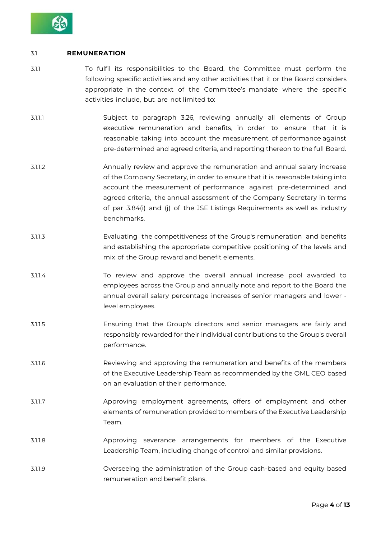

#### 3.1 **REMUNERATION**

- 3.1.1 To fulfil its responsibilities to the Board, the Committee must perform the following specific activities and any other activities that it or the Board considers appropriate in the context of the Committee's mandate where the specific activities include, but are not limited to:
- 3.1.1.1 Subject to paragraph 3.26, reviewing annually all elements of Group executive remuneration and benefits, in order to ensure that it is reasonable taking into account the measurement of performance against pre-determined and agreed criteria, and reporting thereon to the full Board.
- 3.1.1.2 Annually review and approve the remuneration and annual salary increase of the Company Secretary, in order to ensure that it is reasonable taking into account the measurement of performance against pre-determined and agreed criteria, the annual assessment of the Company Secretary in terms of par 3.84(i) and (j) of the JSE Listings Requirements as well as industry benchmarks.
- 3.1.1.3 Evaluating the competitiveness of the Group's remuneration and benefits and establishing the appropriate competitive positioning of the levels and mix of the Group reward and benefit elements.
- 3.1.1.4 To review and approve the overall annual increase pool awarded to employees across the Group and annually note and report to the Board the annual overall salary percentage increases of senior managers and lower level employees.
- 3.1.1.5 Ensuring that the Group's directors and senior managers are fairly and responsibly rewarded for their individual contributions to the Group's overall performance.
- 3.1.1.6 Reviewing and approving the remuneration and benefits of the members of the Executive Leadership Team as recommended by the OML CEO based on an evaluation of their performance.
- 3.1.1.7 Approving employment agreements, offers of employment and other elements of remuneration provided to members of the Executive Leadership Team.
- 3.1.1.8 Approving severance arrangements for members of the Executive Leadership Team, including change of control and similar provisions.
- 3.1.1.9 Overseeing the administration of the Group cash-based and equity based remuneration and benefit plans.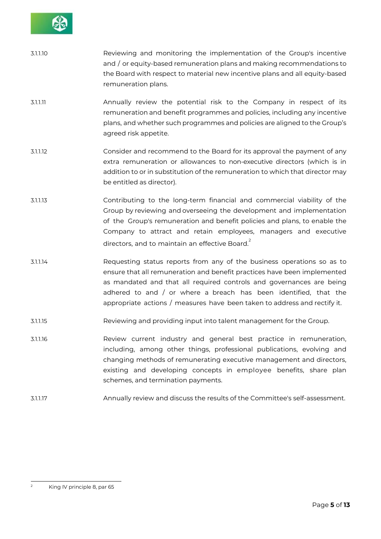

| 3.1.1.10 | Reviewing and monitoring the implementation of the Group's incentive        |
|----------|-----------------------------------------------------------------------------|
|          | and / or equity-based remuneration plans and making recommendations to      |
|          | the Board with respect to material new incentive plans and all equity-based |
|          | remuneration plans.                                                         |

- 3.1.1.11 Annually review the potential risk to the Company in respect of its remuneration and benefit programmes and policies, including any incentive plans, and whether such programmes and policies are aligned to the Group's agreed risk appetite.
- 3.1.1.12 Consider and recommend to the Board for its approval the payment of any extra remuneration or allowances to non-executive directors (which is in addition to or in substitution of the remuneration to which that director may be entitled as director).
- 3.1.1.13 Contributing to the long-term financial and commercial viability of the Group by reviewing and overseeing the development and implementation of the Group's remuneration and benefit policies and plans, to enable the Company to attract and retain employees, managers and executive directors, and to maintain an effective Board. $2$
- 3.1.1.14 Requesting status reports from any of the business operations so as to ensure that all remuneration and benefit practices have been implemented as mandated and that all required controls and governances are being adhered to and / or where a breach has been identified, that the appropriate actions / measures have been taken to address and rectify it.
- 3.1.1.15 Reviewing and providing input into talent management for the Group.
- 3.1.1.16 Review current industry and general best practice in remuneration, including, among other things, professional publications, evolving and changing methods of remunerating executive management and directors, existing and developing concepts in employee benefits, share plan schemes, and termination payments.
- 3.1.1.17 Annually review and discuss the results of the Committee's self-assessment.

<sup>&</sup>lt;sup>2</sup> King IV principle 8, par 65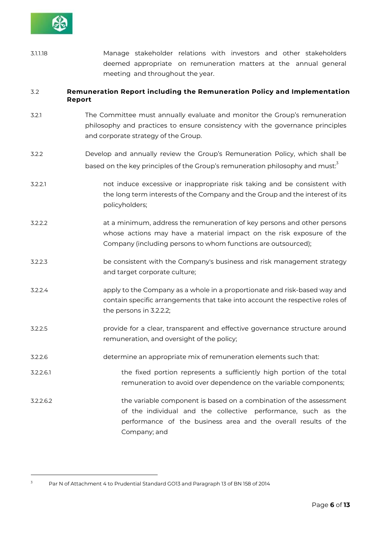

3.1.1.18 Manage stakeholder relations with investors and other stakeholders deemed appropriate on remuneration matters at the annual general meeting and throughout the year.

### 3.2 **Remuneration Report including the Remuneration Policy and Implementation Report**

- 3.2.1 The Committee must annually evaluate and monitor the Group's remuneration philosophy and practices to ensure consistency with the governance principles and corporate strategy of the Group.
- 3.2.2 Develop and annually review the Group's Remuneration Policy, which shall be based on the key principles of the Group's remuneration philosophy and must:
- 3.2.2.1 not induce excessive or inappropriate risk taking and be consistent with the long term interests of the Company and the Group and the interest of its policyholders;
- 3.2.2.2 at a minimum, address the remuneration of key persons and other persons whose actions may have a material impact on the risk exposure of the Company (including persons to whom functions are outsourced);
- 3.2.2.3 be consistent with the Company's business and risk management strategy and target corporate culture;
- 3.2.2.4 apply to the Company as a whole in a proportionate and risk-based way and contain specific arrangements that take into account the respective roles of the persons in 3.2.2.2;
- 3.2.2.5 provide for a clear, transparent and effective governance structure around remuneration, and oversight of the policy;
- 3.2.2.6 determine an appropriate mix of remuneration elements such that:
- 3.2.2.6.1 the fixed portion represents a sufficiently high portion of the total remuneration to avoid over dependence on the variable components;

3.2.2.6.2 the variable component is based on a combination of the assessment of the individual and the collective performance, such as the performance of the business area and the overall results of the Company; and

<sup>&</sup>lt;sup>3</sup> Par N of Attachment 4 to Prudential Standard GO13 and Paragraph 13 of BN 158 of 2014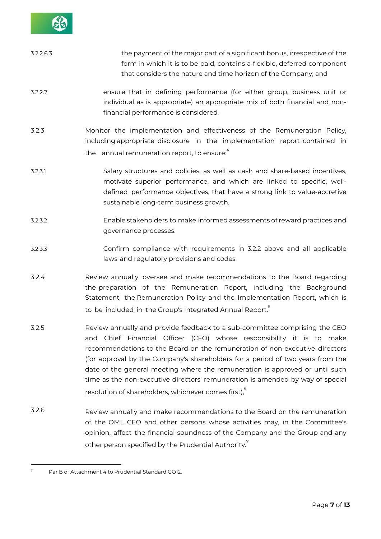

| 3.2.2.6.3 | the payment of the major part of a significant bonus, irrespective of the<br>form in which it is to be paid, contains a flexible, deferred component<br>that considers the nature and time horizon of the Company; and                                                                                              |
|-----------|---------------------------------------------------------------------------------------------------------------------------------------------------------------------------------------------------------------------------------------------------------------------------------------------------------------------|
| 3.2.2.7   | ensure that in defining performance (for either group, business unit or<br>individual as is appropriate) an appropriate mix of both financial and non-<br>financial performance is considered.                                                                                                                      |
| 3.2.3     | Monitor the implementation and effectiveness of the Remuneration Policy,<br>including appropriate disclosure in the implementation report contained in<br>the annual remuneration report, to ensure:                                                                                                                |
| 3.2.3.1   | Salary structures and policies, as well as cash and share-based incentives,<br>motivate superior performance, and which are linked to specific, well-<br>defined performance objectives, that have a strong link to value-accretive<br>sustainable long-term business growth.                                       |
| 3.2.3.2   | Enable stakeholders to make informed assessments of reward practices and<br>governance processes.                                                                                                                                                                                                                   |
| 3.2.3.3   | Confirm compliance with requirements in 3.2.2 above and all applicable<br>laws and regulatory provisions and codes.                                                                                                                                                                                                 |
| 3.2.4     | Review annually, oversee and make recommendations to the Board regarding<br>the preparation of the Remuneration Report, including the Background<br>Statement, the Remuneration Policy and the Implementation Report, which is<br>to be included in the Group's Integrated Annual Report. <sup>5</sup>              |
| 3.2.5     | Review annually and provide feedback to a sub-committee comprising the CEO<br>and Chief Financial Officer (CFO) whose responsibility it is to make<br>recommendations to the Board on the remuneration of non-executive directors<br>(for approval by the Company's shareholders for a period of two years from the |

- time as the non-executive directors' remuneration is amended by way of special resolution of shareholders, whichever comes first),<sup>6</sup>
- 3.2.6 Review annually and make recommendations to the Board on the remuneration of the OML CEO and other persons whose activities may, in the Committee's opinion, affect the financial soundness of the Company and the Group and any other person specified by the Prudential Authority. $7$

date of the general meeting where the remuneration is approved or until such

 $<sup>7</sup>$  Par B of Attachment 4 to Prudential Standard GO12.</sup>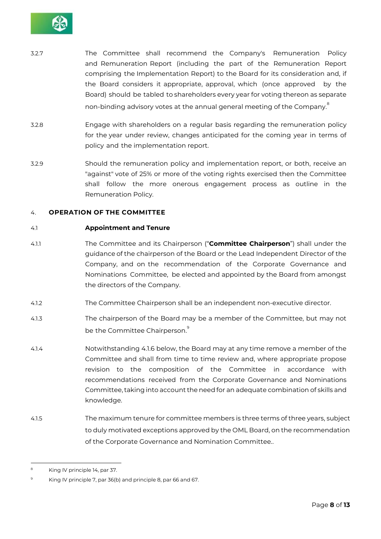

- 3.2.7 The Committee shall recommend the Company's Remuneration Policy and Remuneration Report (including the part of the Remuneration Report comprising the Implementation Report) to the Board for its consideration and, if the Board considers it appropriate, approval, which (once approved by the Board) should be tabled to shareholders every year for voting thereon as separate non-binding advisory votes at the annual general meeting of the Company.  $\stackrel{\scriptscriptstyle \mathrm{E}}{ }$
- 3.2.8 Engage with shareholders on a regular basis regarding the remuneration policy for the year under review, changes anticipated for the coming year in terms of policy and the implementation report.
- 3.2.9 Should the remuneration policy and implementation report, or both, receive an "against" vote of 25% or more of the voting rights exercised then the Committee shall follow the more onerous engagement process as outline in the Remuneration Policy.

#### 4. **OPERATION OF THE COMMITTEE**

#### 4.1 **Appointment and Tenure**

- 4.1.1 The Committee and its Chairperson ("**Committee Chairperson**") shall under the guidance of the chairperson of the Board or the Lead Independent Director of the Company, and on the recommendation of the Corporate Governance and Nominations Committee, be elected and appointed by the Board from amongst the directors of the Company.
- 4.1.2 The Committee Chairperson shall be an independent non-executive director.
- 4.1.3 The chairperson of the Board may be a member of the Committee, but may not be the Committee Chairperson.<sup>9</sup>
- 4.1.4 Notwithstanding 4.1.6 below, the Board may at any time remove a member of the Committee and shall from time to time review and, where appropriate propose revision to the composition of the Committee in accordance with recommendations received from the Corporate Governance and Nominations Committee, taking into account the need for an adequate combination of skills and knowledge.
- 4.1.5 The maximum tenure for committee members is three terms of three years, subject to duly motivated exceptions approved by the OML Board, on the recommendation of the Corporate Governance and Nomination Committee..

<sup>&</sup>lt;sup>8</sup> King IV principle 14, par 37.

<sup>&</sup>lt;sup>9</sup> King IV principle 7, par 36(b) and principle 8, par 66 and 67.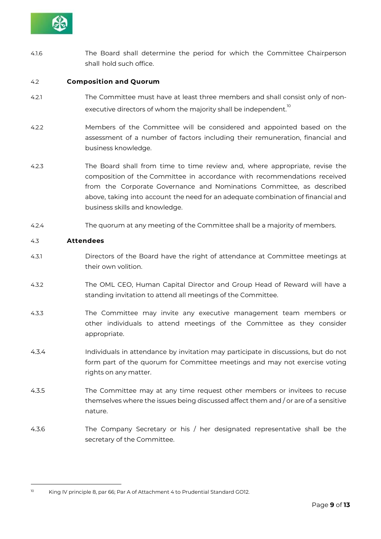

4.1.6 The Board shall determine the period for which the Committee Chairperson shall hold such office.

#### 4.2 **Composition and Quorum**

- 4.2.1 The Committee must have at least three members and shall consist only of nonexecutive directors of whom the majority shall be independent. $^{\text{\tiny{10}}}$
- 4.2.2 Members of the Committee will be considered and appointed based on the assessment of a number of factors including their remuneration, financial and business knowledge.
- 4.2.3 The Board shall from time to time review and, where appropriate, revise the composition of the Committee in accordance with recommendations received from the Corporate Governance and Nominations Committee, as described above, taking into account the need for an adequate combination of financial and business skills and knowledge.
- 4.2.4 The quorum at any meeting of the Committee shall be a majority of members.

#### 4.3 **Attendees**

- 4.3.1 Directors of the Board have the right of attendance at Committee meetings at their own volition.
- 4.3.2 The OML CEO, Human Capital Director and Group Head of Reward will have a standing invitation to attend all meetings of the Committee.
- 4.3.3 The Committee may invite any executive management team members or other individuals to attend meetings of the Committee as they consider appropriate.
- 4.3.4 Individuals in attendance by invitation may participate in discussions, but do not form part of the quorum for Committee meetings and may not exercise voting rights on any matter.
- 4.3.5 The Committee may at any time request other members or invitees to recuse themselves where the issues being discussed affect them and / or are of a sensitive nature.
- 4.3.6 The Company Secretary or his / her designated representative shall be the secretary of the Committee.

<sup>&</sup>lt;sup>10</sup> King IV principle 8, par 66; Par A of Attachment 4 to Prudential Standard GO12.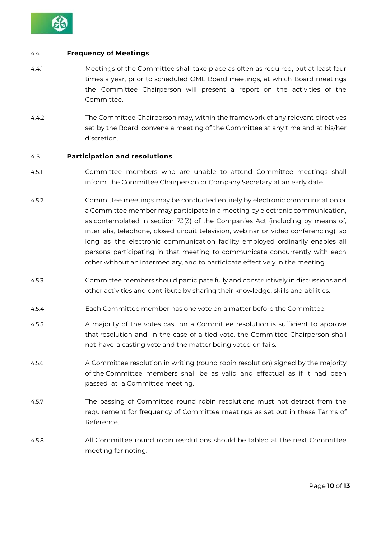

#### 4.4 **Frequency of Meetings**

- 4.4.1 Meetings of the Committee shall take place as often as required, but at least four times a year, prior to scheduled OML Board meetings, at which Board meetings the Committee Chairperson will present a report on the activities of the Committee.
- 4.4.2 The Committee Chairperson may, within the framework of any relevant directives set by the Board, convene a meeting of the Committee at any time and at his/her discretion.

#### 4.5 **Participation and resolutions**

- 4.5.1 Committee members who are unable to attend Committee meetings shall inform the Committee Chairperson or Company Secretary at an early date.
- 4.5.2 Committee meetings may be conducted entirely by electronic communication or a Committee member may participate in a meeting by electronic communication, as contemplated in section 73(3) of the Companies Act (including by means of, inter alia, telephone, closed circuit television, webinar or video conferencing), so long as the electronic communication facility employed ordinarily enables all persons participating in that meeting to communicate concurrently with each other without an intermediary, and to participate effectively in the meeting.
- 4.5.3 Committee members should participate fully and constructively in discussions and other activities and contribute by sharing their knowledge, skills and abilities.
- 4.5.4 Each Committee member has one vote on a matter before the Committee.
- 4.5.5 A majority of the votes cast on a Committee resolution is sufficient to approve that resolution and, in the case of a tied vote, the Committee Chairperson shall not have a casting vote and the matter being voted on fails.
- 4.5.6 A Committee resolution in writing (round robin resolution) signed by the majority of the Committee members shall be as valid and effectual as if it had been passed at a Committee meeting.
- 4.5.7 The passing of Committee round robin resolutions must not detract from the requirement for frequency of Committee meetings as set out in these Terms of Reference.
- 4.5.8 All Committee round robin resolutions should be tabled at the next Committee meeting for noting.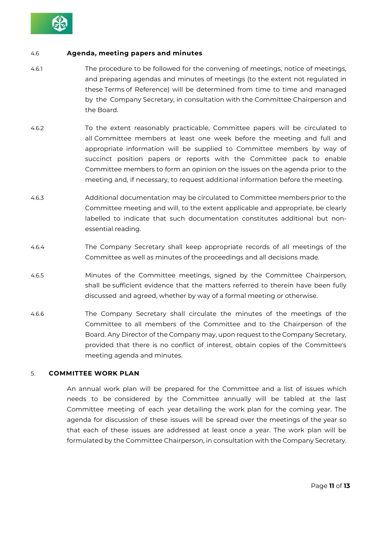

#### 4.6 **Agenda, meeting papers and minutes**

- 4.6.1 The procedure to be followed for the convening of meetings, notice of meetings, and preparing agendas and minutes of meetings (to the extent not regulated in these Terms of Reference) will be determined from time to time and managed by the Company Secretary, in consultation with the Committee Chairperson and the Board.
- 4.6.2 To the extent reasonably practicable, Committee papers will be circulated to all Committee members at least one week before the meeting and full and appropriate information will be supplied to Committee members by way of succinct position papers or reports with the Committee pack to enable Committee members to form an opinion on the issues on the agenda prior to the meeting and, if necessary, to request additional information before the meeting.
- 4.6.3 Additional documentation may be circulated to Committee members prior to the Committee meeting and will, to the extent applicable and appropriate, be clearly labelled to indicate that such documentation constitutes additional but nonessential reading.
- 4.6.4 The Company Secretary shall keep appropriate records of all meetings of the Committee as well as minutes of the proceedings and all decisions made.
- 4.6.5 Minutes of the Committee meetings, signed by the Committee Chairperson, shall be sufficient evidence that the matters referred to therein have been fully discussed and agreed, whether by way of a formal meeting or otherwise.
- 4.6.6 The Company Secretary shall circulate the minutes of the meetings of the Committee to all members of the Committee and to the Chairperson of the Board. Any Director of the Company may, upon request to the Company Secretary, provided that there is no conflict of interest, obtain copies of the Committee's meeting agenda and minutes.

# 5. **COMMITTEE WORK PLAN**

An annual work plan will be prepared for the Committee and a list of issues which needs to be considered by the Committee annually will be tabled at the last Committee meeting of each year detailing the work plan for the coming year. The agenda for discussion of these issues will be spread over the meetings of the year so that each of these issues are addressed at least once a year. The work plan will be formulated by the Committee Chairperson, in consultation with the Company Secretary.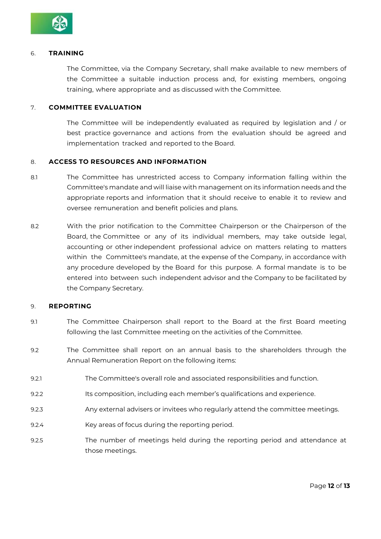

#### 6. **TRAINING**

The Committee, via the Company Secretary, shall make available to new members of the Committee a suitable induction process and, for existing members, ongoing training, where appropriate and as discussed with the Committee.

#### 7. **COMMITTEE EVALUATION**

The Committee will be independently evaluated as required by legislation and / or best practice governance and actions from the evaluation should be agreed and implementation tracked and reported to the Board.

#### 8. **ACCESS TO RESOURCES AND INFORMATION**

- 8.1 The Committee has unrestricted access to Company information falling within the Committee's mandate and will liaise with management on its information needs and the appropriate reports and information that it should receive to enable it to review and oversee remuneration and benefit policies and plans.
- 8.2 With the prior notification to the Committee Chairperson or the Chairperson of the Board, the Committee or any of its individual members, may take outside legal, accounting or other independent professional advice on matters relating to matters within the Committee's mandate, at the expense of the Company, in accordance with any procedure developed by the Board for this purpose. A formal mandate is to be entered into between such independent advisor and the Company to be facilitated by the Company Secretary.

#### 9. **REPORTING**

- 9.1 The Committee Chairperson shall report to the Board at the first Board meeting following the last Committee meeting on the activities of the Committee.
- 9.2 The Committee shall report on an annual basis to the shareholders through the Annual Remuneration Report on the following items:
- 9.2.1 The Committee's overall role and associated responsibilities and function.
- 9.2.2 Its composition, including each member's qualifications and experience.
- 9.2.3 Any external advisers or invitees who regularly attend the committee meetings.
- 9.2.4 Key areas of focus during the reporting period.
- 9.2.5 The number of meetings held during the reporting period and attendance at those meetings.